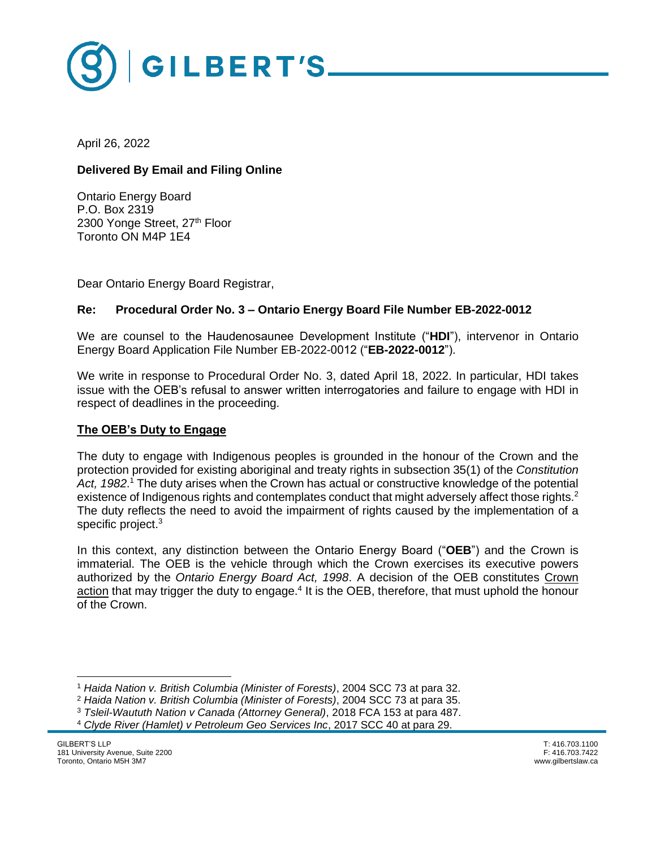

April 26, 2022

# **Delivered By Email and Filing Online**

Ontario Energy Board P.O. Box 2319 2300 Yonge Street, 27th Floor Toronto ON M4P 1E4

Dear Ontario Energy Board Registrar,

# **Re: Procedural Order No. 3 – Ontario Energy Board File Number EB-2022-0012**

We are counsel to the Haudenosaunee Development Institute ("**HDI**"), intervenor in Ontario Energy Board Application File Number EB-2022-0012 ("**EB-2022-0012**").

We write in response to Procedural Order No. 3, dated April 18, 2022. In particular, HDI takes issue with the OEB's refusal to answer written interrogatories and failure to engage with HDI in respect of deadlines in the proceeding.

### **The OEB's Duty to Engage**

The duty to engage with Indigenous peoples is grounded in the honour of the Crown and the protection provided for existing aboriginal and treaty rights in subsection 35(1) of the *Constitution*  Act, 1982.<sup>1</sup> The duty arises when the Crown has actual or constructive knowledge of the potential existence of Indigenous rights and contemplates conduct that might adversely affect those rights.<sup>2</sup> The duty reflects the need to avoid the impairment of rights caused by the implementation of a specific project.<sup>3</sup>

In this context, any distinction between the Ontario Energy Board ("**OEB**") and the Crown is immaterial. The OEB is the vehicle through which the Crown exercises its executive powers authorized by the *Ontario Energy Board Act, 1998*. A decision of the OEB constitutes Crown action that may trigger the duty to engage.<sup>4</sup> It is the OEB, therefore, that must uphold the honour of the Crown.

<sup>1</sup> *Haida Nation v. British Columbia (Minister of Forests)*, 2004 SCC 73 at para 32.

<sup>2</sup> *Haida Nation v. British Columbia (Minister of Forests)*, 2004 SCC 73 at para 35.

<sup>3</sup> *Tsleil-Waututh Nation v Canada (Attorney General)*, 2018 FCA 153 at para 487.

<sup>4</sup> *Clyde River (Hamlet) v Petroleum Geo Services Inc*, 2017 SCC 40 at para 29.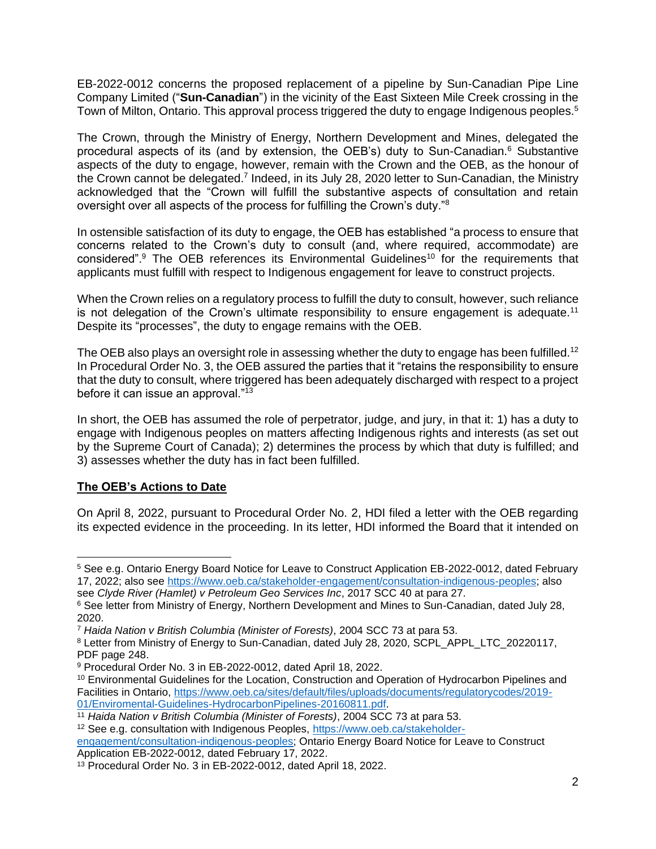EB-2022-0012 concerns the proposed replacement of a pipeline by Sun-Canadian Pipe Line Company Limited ("**Sun-Canadian**") in the vicinity of the East Sixteen Mile Creek crossing in the Town of Milton, Ontario. This approval process triggered the duty to engage Indigenous peoples.<sup>5</sup>

The Crown, through the Ministry of Energy, Northern Development and Mines, delegated the procedural aspects of its (and by extension, the OEB's) duty to Sun-Canadian.<sup>6</sup> Substantive aspects of the duty to engage, however, remain with the Crown and the OEB, as the honour of the Crown cannot be delegated.<sup>7</sup> Indeed, in its July 28, 2020 letter to Sun-Canadian, the Ministry acknowledged that the "Crown will fulfill the substantive aspects of consultation and retain oversight over all aspects of the process for fulfilling the Crown's duty."<sup>8</sup>

In ostensible satisfaction of its duty to engage, the OEB has established "a process to ensure that concerns related to the Crown's duty to consult (and, where required, accommodate) are considered".<sup>9</sup> The OEB references its Environmental Guidelines<sup>10</sup> for the requirements that applicants must fulfill with respect to Indigenous engagement for leave to construct projects.

When the Crown relies on a regulatory process to fulfill the duty to consult, however, such reliance is not delegation of the Crown's ultimate responsibility to ensure engagement is adequate.<sup>11</sup> Despite its "processes", the duty to engage remains with the OEB.

The OEB also plays an oversight role in assessing whether the duty to engage has been fulfilled.<sup>12</sup> In Procedural Order No. 3, the OEB assured the parties that it "retains the responsibility to ensure that the duty to consult, where triggered has been adequately discharged with respect to a project before it can issue an approval."<sup>13</sup>

In short, the OEB has assumed the role of perpetrator, judge, and jury, in that it: 1) has a duty to engage with Indigenous peoples on matters affecting Indigenous rights and interests (as set out by the Supreme Court of Canada); 2) determines the process by which that duty is fulfilled; and 3) assesses whether the duty has in fact been fulfilled.

# **The OEB's Actions to Date**

On April 8, 2022, pursuant to Procedural Order No. 2, HDI filed a letter with the OEB regarding its expected evidence in the proceeding. In its letter, HDI informed the Board that it intended on

<sup>5</sup> See e.g. Ontario Energy Board Notice for Leave to Construct Application EB-2022-0012, dated February 17, 2022; also see [https://www.oeb.ca/stakeholder-engagement/consultation-indigenous-peoples;](https://www.oeb.ca/stakeholder-engagement/consultation-indigenous-peoples) also see *Clyde River (Hamlet) v Petroleum Geo Services Inc*, 2017 SCC 40 at para 27.

<sup>6</sup> See letter from Ministry of Energy, Northern Development and Mines to Sun-Canadian, dated July 28, 2020.

<sup>7</sup> *Haida Nation v British Columbia (Minister of Forests)*, 2004 SCC 73 at para 53.

<sup>8</sup> Letter from Ministry of Energy to Sun-Canadian, dated July 28, 2020, SCPL\_APPL\_LTC\_20220117, PDF page 248.

<sup>9</sup> Procedural Order No. 3 in EB-2022-0012, dated April 18, 2022.

<sup>10</sup> Environmental Guidelines for the Location, Construction and Operation of Hydrocarbon Pipelines and Facilities in Ontario, [https://www.oeb.ca/sites/default/files/uploads/documents/regulatorycodes/2019-](https://www.oeb.ca/sites/default/files/uploads/documents/regulatorycodes/2019-01/Enviromental-Guidelines-HydrocarbonPipelines-20160811.pdf) [01/Enviromental-Guidelines-HydrocarbonPipelines-20160811.pdf.](https://www.oeb.ca/sites/default/files/uploads/documents/regulatorycodes/2019-01/Enviromental-Guidelines-HydrocarbonPipelines-20160811.pdf)

<sup>11</sup> *Haida Nation v British Columbia (Minister of Forests)*, 2004 SCC 73 at para 53.

<sup>&</sup>lt;sup>12</sup> See e.g. consultation with Indigenous Peoples, [https://www.oeb.ca/stakeholder-](https://www.oeb.ca/stakeholder-engagement/consultation-indigenous-peoples)

[engagement/consultation-indigenous-peoples;](https://www.oeb.ca/stakeholder-engagement/consultation-indigenous-peoples) Ontario Energy Board Notice for Leave to Construct Application EB-2022-0012, dated February 17, 2022.

<sup>13</sup> Procedural Order No. 3 in EB-2022-0012, dated April 18, 2022.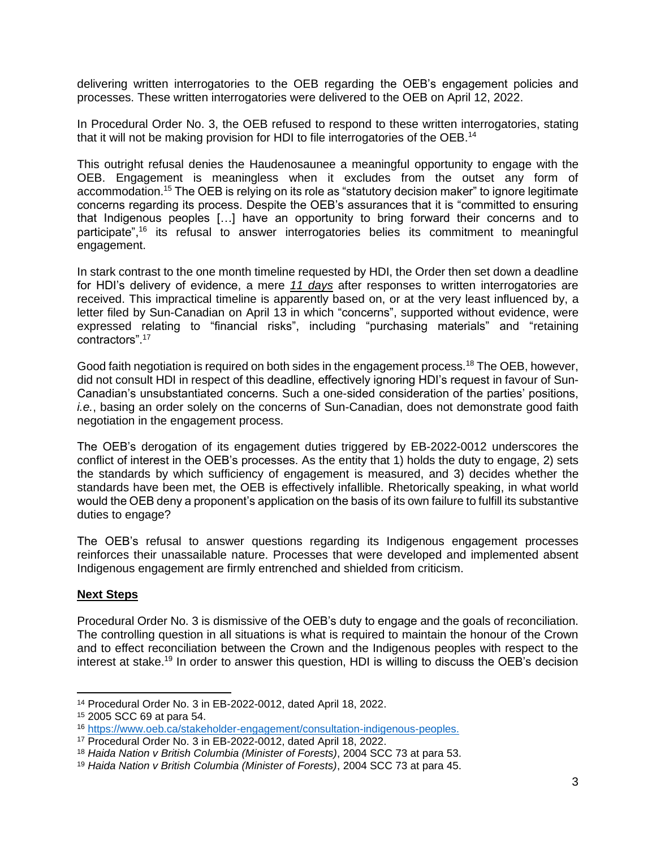delivering written interrogatories to the OEB regarding the OEB's engagement policies and processes. These written interrogatories were delivered to the OEB on April 12, 2022.

In Procedural Order No. 3, the OEB refused to respond to these written interrogatories, stating that it will not be making provision for HDI to file interrogatories of the OEB.<sup>14</sup>

This outright refusal denies the Haudenosaunee a meaningful opportunity to engage with the OEB. Engagement is meaningless when it excludes from the outset any form of accommodation.<sup>15</sup> The OEB is relying on its role as "statutory decision maker" to ignore legitimate concerns regarding its process. Despite the OEB's assurances that it is "committed to ensuring that Indigenous peoples […] have an opportunity to bring forward their concerns and to participate",<sup>16</sup> its refusal to answer interrogatories belies its commitment to meaningful engagement.

In stark contrast to the one month timeline requested by HDI, the Order then set down a deadline for HDI's delivery of evidence, a mere *11 days* after responses to written interrogatories are received. This impractical timeline is apparently based on, or at the very least influenced by, a letter filed by Sun-Canadian on April 13 in which "concerns", supported without evidence, were expressed relating to "financial risks", including "purchasing materials" and "retaining contractors". 17

Good faith negotiation is required on both sides in the engagement process.<sup>18</sup> The OEB, however, did not consult HDI in respect of this deadline, effectively ignoring HDI's request in favour of Sun-Canadian's unsubstantiated concerns. Such a one-sided consideration of the parties' positions, *i.e.*, basing an order solely on the concerns of Sun-Canadian, does not demonstrate good faith negotiation in the engagement process.

The OEB's derogation of its engagement duties triggered by EB-2022-0012 underscores the conflict of interest in the OEB's processes. As the entity that 1) holds the duty to engage, 2) sets the standards by which sufficiency of engagement is measured, and 3) decides whether the standards have been met, the OEB is effectively infallible. Rhetorically speaking, in what world would the OEB deny a proponent's application on the basis of its own failure to fulfill its substantive duties to engage?

The OEB's refusal to answer questions regarding its Indigenous engagement processes reinforces their unassailable nature. Processes that were developed and implemented absent Indigenous engagement are firmly entrenched and shielded from criticism.

#### **Next Steps**

Procedural Order No. 3 is dismissive of the OEB's duty to engage and the goals of reconciliation. The controlling question in all situations is what is required to maintain the honour of the Crown and to effect reconciliation between the Crown and the Indigenous peoples with respect to the interest at stake.<sup>19</sup> In order to answer this question, HDI is willing to discuss the OEB's decision

<sup>14</sup> Procedural Order No. 3 in EB-2022-0012, dated April 18, 2022.

<sup>15</sup> 2005 SCC 69 at para 54.

<sup>16</sup> [https://www.oeb.ca/stakeholder-engagement/consultation-indigenous-peoples.](https://www.oeb.ca/stakeholder-engagement/consultation-indigenous-peoples)

<sup>17</sup> Procedural Order No. 3 in EB-2022-0012, dated April 18, 2022.

<sup>18</sup> *Haida Nation v British Columbia (Minister of Forests)*, 2004 SCC 73 at para 53.

<sup>19</sup> *Haida Nation v British Columbia (Minister of Forests)*, 2004 SCC 73 at para 45.